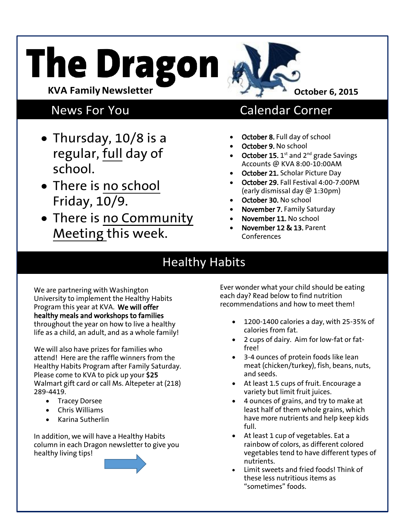# **The Dragon KVA Family Newsletter**



- Thursday, 10/8 is a regular, full day of school.
- There is no school Friday, 10/9.
- There is no Community Meeting this week.

### News For You Calendar Corner

- October 8. Full day of school
- October 9. No school
- October 15.  $1^{\text{st}}$  and  $2^{\text{nd}}$  grade Savings Accounts @ KVA 8:00-10:00AM
- October 21. Scholar Picture Day
- October 29. Fall Festival 4:00-7:00PM (early dismissal day @ 1:30pm)
- October 30. No school
- November 7. Family Saturday
- November 11. No school
- November 12 & 13. Parent Conferences

## Healthy Habits

We are partnering with Washington University to implement the Healthy Habits Program this year at KVA. We will offer healthy meals and workshops to families throughout the year on how to live a healthy life as a child, an adult, and as a whole family!

We will also have prizes for families who attend! Here are the raffle winners from the Healthy Habits Program after Family Saturday. Please come to KVA to pick up your \$25 Walmart gift card or call Ms. Altepeter at (218) 289-4419.

- Tracey Dorsee
- Chris Williams
- Karina Sutherlin

In addition, we will have a Healthy Habits column in each Dragon newsletter to give you healthy living tips!

Ever wonder what your child should be eating each day? Read below to find nutrition recommendations and how to meet them!

- 1200-1400 calories a day, with 25-35% of calories from fat.
- 2 cups of dairy. Aim for low-fat or fatfree!
- 3-4 ounces of protein foods like lean meat (chicken/turkey), fish, beans, nuts, and seeds.
- At least 1.5 cups of fruit. Encourage a variety but limit fruit juices.
- 4 ounces of grains, and try to make at least half of them whole grains, which have more nutrients and help keep kids full.
- At least 1 cup of vegetables. Eat a rainbow of colors, as different colored vegetables tend to have different types of nutrients.
- Limit sweets and fried foods! Think of these less nutritious items as "sometimes" foods.

**October 6, 2015**